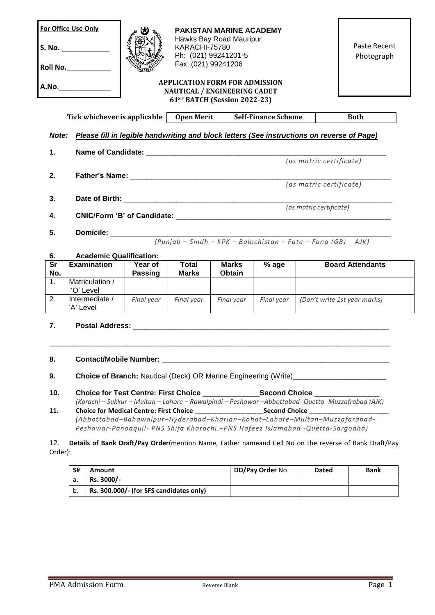| For Office Use Only<br>PAKISTAN MARINE ACADEMY<br>Hawks Bay Road Mauripur<br>KARACHI-75780<br>S. No.<br>Ph: (021) 99241201-5<br>Fax: (021) 99241206<br>Roll No.<br><b>APPLICATION FORM FOR ADMISSION</b><br><b>NAUTICAL / ENGINEERING CADET</b><br>61ST BATCH (Session 2022-23) |                                                                                                  |                           |                              | Paste Recent<br>Photograph |                            |                                                                 |                                                                                                                                               |
|---------------------------------------------------------------------------------------------------------------------------------------------------------------------------------------------------------------------------------------------------------------------------------|--------------------------------------------------------------------------------------------------|---------------------------|------------------------------|----------------------------|----------------------------|-----------------------------------------------------------------|-----------------------------------------------------------------------------------------------------------------------------------------------|
|                                                                                                                                                                                                                                                                                 | Tick whichever is applicable                                                                     |                           | <b>Open Merit</b>            |                            | <b>Self-Finance Scheme</b> |                                                                 | <b>Both</b>                                                                                                                                   |
|                                                                                                                                                                                                                                                                                 | Note: Please fill in legible handwriting and block letters (See instructions on reverse of Page) |                           |                              |                            |                            |                                                                 |                                                                                                                                               |
| $\mathbf 1$ .                                                                                                                                                                                                                                                                   |                                                                                                  |                           |                              |                            |                            |                                                                 |                                                                                                                                               |
|                                                                                                                                                                                                                                                                                 |                                                                                                  |                           |                              |                            |                            | (as matric certificate)                                         |                                                                                                                                               |
| 2.                                                                                                                                                                                                                                                                              |                                                                                                  |                           |                              |                            |                            |                                                                 |                                                                                                                                               |
|                                                                                                                                                                                                                                                                                 |                                                                                                  |                           |                              |                            |                            | (as matric certificate)                                         |                                                                                                                                               |
| 3.                                                                                                                                                                                                                                                                              | (as matric certificate)                                                                          |                           |                              |                            |                            |                                                                 |                                                                                                                                               |
| 4.                                                                                                                                                                                                                                                                              |                                                                                                  |                           |                              |                            |                            |                                                                 |                                                                                                                                               |
| 5.                                                                                                                                                                                                                                                                              | <b>Domicile: Communication Communication</b>                                                     |                           |                              |                            |                            |                                                                 |                                                                                                                                               |
|                                                                                                                                                                                                                                                                                 |                                                                                                  |                           |                              |                            |                            | $(Punjab - Sindh - KPK - Balochistan - Fata - Fana (GB) - AJK)$ |                                                                                                                                               |
| 6.                                                                                                                                                                                                                                                                              | <b>Academic Qualification:</b>                                                                   |                           |                              |                            |                            |                                                                 |                                                                                                                                               |
| Sr<br>No.                                                                                                                                                                                                                                                                       | <b>Examination</b>                                                                               | Year of<br><b>Passing</b> | <b>Total</b><br><b>Marks</b> | <b>Marks</b><br>Obtain     | % age                      |                                                                 | <b>Board Attendants</b>                                                                                                                       |
| 1 <sub>1</sub>                                                                                                                                                                                                                                                                  | Matriculation /<br>'O' Level                                                                     |                           |                              |                            |                            |                                                                 |                                                                                                                                               |
| 2.                                                                                                                                                                                                                                                                              | Intermediate /<br>'A' Level                                                                      | Final year                | Final year                   | Final year                 | Final year                 |                                                                 | (Don't write 1st year marks)                                                                                                                  |
| $\overline{7}$ .                                                                                                                                                                                                                                                                |                                                                                                  |                           |                              |                            |                            |                                                                 |                                                                                                                                               |
| 8.                                                                                                                                                                                                                                                                              |                                                                                                  |                           |                              |                            |                            |                                                                 |                                                                                                                                               |
| 9.                                                                                                                                                                                                                                                                              |                                                                                                  |                           |                              |                            |                            |                                                                 | <b>Choice of Branch:</b> Nautical (Deck) OR Marine Engineering (Write) <b>Choice of Branch:</b> Nautical (Deck) OR Marine Engineering (Write) |

| 10. | <b>Choice for Test Centre: First Choice</b>    | <b>Second Choice</b>                                                                                  |
|-----|------------------------------------------------|-------------------------------------------------------------------------------------------------------|
|     |                                                | (Karachi – Sukkur – Multan – Lahore – Rawalpindi – Peshawar – Abbottabad - Quetta - Muzzafrabad (AJK) |
|     | <b>Choice for Medical Centre: First Choice</b> | <b>Second Choice</b>                                                                                  |

*(Abbottabad–Bahawalpur–Hyderabad–Kharian–Kohat–Lahore–Multan–Muzzafarabad-Peshawar-Panoaquil- PNS Shifa Kharachi.–PNS Hafeez Islamabad -Quetta-Sargodha)*

12. **Details of Bank Draft/Pay Order**(mention Name, Father nameand Cell No on the reverse of Bank Draft/Pay Order):

| S# | Amount                                  | <b>DD/Pay Order No</b> | <b>Dated</b> | <b>Bank</b> |
|----|-----------------------------------------|------------------------|--------------|-------------|
| d. | Rs. 3000/-                              |                        |              |             |
| b. | Rs. 300,000/- (for SFS candidates only) |                        |              |             |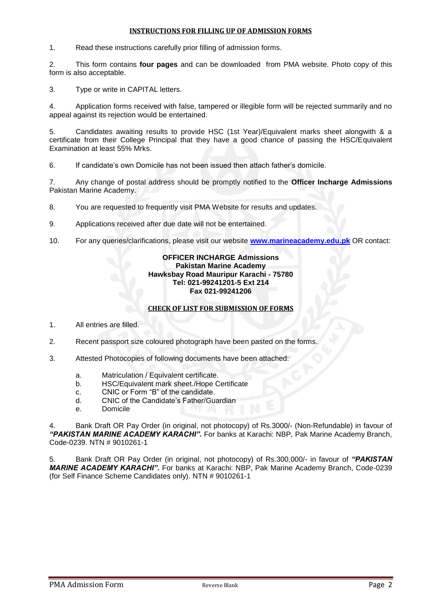## **INSTRUCTIONS FOR FILLING UP OF ADMISSION FORMS**

1. Read these instructions carefully prior filling of admission forms.

2. This form contains **four pages** and can be downloaded from PMA website. Photo copy of this form is also acceptable.

3. Type or write in CAPITAL letters.

4. Application forms received with false, tampered or illegible form will be rejected summarily and no appeal against its rejection would be entertained.

5. Candidates awaiting results to provide HSC (1st Year)/Equivalent marks sheet alongwith & a certificate from their College Principal that they have a good chance of passing the HSC/Equivalent Examination at least 55% Mrks.

6. If candidate's own Domicile has not been issued then attach father's domicile.

7. Any change of postal address should be promptly notified to the **Officer Incharge Admissions** Pakistan Marine Academy.

8. You are requested to frequently visit PMA Website for results and updates.

- 9. Applications received after due date will not be entertained.
- 10. For any queries/clarifications, please visit our website **[www.marineacademy.edu.pk](http://www.marineacademy.edu.pk/)** OR contact:

## **OFFICER INCHARGE Admissions Pakistan Marine Academy Hawksbay Road Mauripur Karachi - 75780 Tel: 021-99241201-5 Ext 214 Fax 021-99241206**

## **CHECK OF LIST FOR SUBMISSION OF FORMS**

1. All entries are filled.

2. Recent passport size coloured photograph have been pasted on the forms.

- 3. Attested Photocopies of following documents have been attached:
	- a. Matriculation / Equivalent certificate.
	- b. HSC/Equivalent mark sheet./Hope Certificate
	- c. CNIC or Form "B" of the candidate.
	- d. CNIC of the Candidate's Father/Guardian
	- e. Domicile

4. Bank Draft OR Pay Order (in original, not photocopy) of Rs.3000/- (Non-Refundable) in favour of *"PAKISTAN MARINE ACADEMY KARACHI".* For banks at Karachi: NBP, Pak Marine Academy Branch, Code-0239. NTN # 9010261-1

5. Bank Draft OR Pay Order (in original, not photocopy) of Rs.300,000/- in favour of *"PAKISTAN MARINE ACADEMY KARACHI".* For banks at Karachi: NBP, Pak Marine Academy Branch, Code-0239 (for Self Finance Scheme Candidates only). NTN # 9010261-1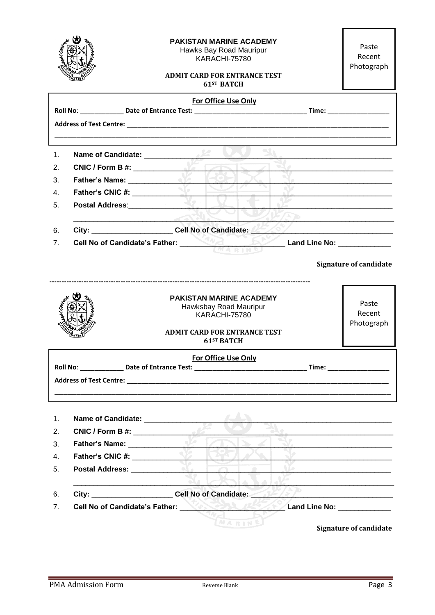|                |                                                        | <b>PAKISTAN MARINE ACADEMY</b><br>Hawks Bay Road Mauripur<br>KARACHI-75780<br><b>ADMIT CARD FOR ENTRANCE TEST</b><br>61 <sup>ST</sup> BATCH  | Paste<br>Recent<br>Photograph |
|----------------|--------------------------------------------------------|----------------------------------------------------------------------------------------------------------------------------------------------|-------------------------------|
|                |                                                        | For Office Use Only                                                                                                                          |                               |
|                |                                                        |                                                                                                                                              |                               |
|                |                                                        | <u> 1989 - Johann Barn, mars et al. 1989 - Anna anno 1989 - Anna anno 1989 - Anna anno 1989 - Anna ann an t-Anna</u>                         |                               |
| 1 <sub>1</sub> |                                                        |                                                                                                                                              |                               |
| 2.             | CNIC / Form B #:                                       | $\alpha$                                                                                                                                     |                               |
| 3.             |                                                        |                                                                                                                                              |                               |
| $\mathbf{4}$ . |                                                        | $\mathcal{N}_{\mathbf{c}}$                                                                                                                   |                               |
| 5.             | <b>Postal Address:</b> Postal Address:                 |                                                                                                                                              |                               |
|                |                                                        |                                                                                                                                              |                               |
| 6.             |                                                        | City: City: Cell No of Candidate: 25 / 27 / 2010                                                                                             |                               |
| 7 <sub>1</sub> |                                                        | Cell No of Candidate's Father: <b>Example 2008</b> Land Line No: _____________________                                                       |                               |
|                |                                                        |                                                                                                                                              |                               |
|                |                                                        |                                                                                                                                              | <b>Signature of candidate</b> |
|                |                                                        | <b>PAKISTAN MARINE ACADEMY</b><br>Hawksbay Road Mauripur<br><b>KARACHI-75780</b><br><b>ADMIT CARD FOR ENTRANCE TEST</b><br><b>61ST BATCH</b> | Paste<br>Recent<br>Photograph |
|                |                                                        | For Office Use Only                                                                                                                          |                               |
|                |                                                        | Roll No: _________________ Date of Entrance Test: ______________________________                                                             | Time: ___________________     |
|                |                                                        |                                                                                                                                              |                               |
|                |                                                        |                                                                                                                                              |                               |
|                |                                                        |                                                                                                                                              |                               |
| 1.             | Name of Candidate: ________________                    |                                                                                                                                              |                               |
| 2.             | CNIC / Form B #:                                       |                                                                                                                                              |                               |
| 3.             |                                                        |                                                                                                                                              |                               |
| 4.             | Father's CNIC #:                                       |                                                                                                                                              |                               |
| 5.             | Postal Address: New York 1989                          |                                                                                                                                              |                               |
| 6.             | City: _________________________Cell No of Candidate: _ | Т'n,                                                                                                                                         |                               |
| 7.             | Cell No of Candidate's Father: New York 2014           | <b>DES / Land Line No:</b> __________                                                                                                        |                               |
|                |                                                        | MARINE                                                                                                                                       | <b>Signature of candidate</b> |